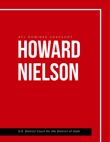# HOWARD Nielson AFJ NOMINEE SNAPSHOT

*U.S. District Court for the District of Utah*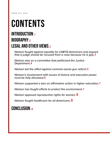WWW.AFJ.ORG

## CONTENTS

### INTRODUCTION, 1 BIOGRAPHY.2 LEGAL AND OTHER VIEWS.2

*Nielson fought against equality for LGBTQ Americans and argued that a judge should be recused from a case because he is gay*[,](#page-1-0) 2

<span id="page-1-1"></span>*Nielson was on a committee that politicized the Justice Department*[, 4](#page-1-1)

*Nielson led the effort against common-sense gun reform*[, 5](#page-6-0)

*Nielson's involvement with issues of torture and executive power must be fully disclosed*, 6

*Nielson supported a ban on affirmative action in higher education*[, 7](#page-8-0)

*Nielson has fought efforts to protect the environment*[, 7](#page-8-1)

*[Nielson opposed reproductive rights for women](#page-9-0)*, 8

<span id="page-1-0"></span>*[Nielson fought healthcare for all Americans](#page-9-1)*, 8

### CONCLUSION, 8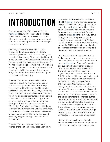#### WWW.AFJ.ORG PAGE 1

### <span id="page-2-0"></span>INTRODUCTION

On September 29, 2017, President Trump [nominated](https://www.whitehouse.gov/presidential-actions/twenty-seven-nominations-two-withdrawals-sent-senate-today/) Howard C. Nielson to the United States District Court for the District of Utah. Nielson's nomination continues Trump's trend of offering lifetime appointments to ideological attorneys and judges.

Alarmingly, Nielson shares with Trump a propensity for attacking judges' integrity based on personal characteristics. During the presidential campaign, Trump attacked federal judge Gonzalo Curiel and said the judge should recuse himself from a case solely because of his Mexican heritage. Howard Nielson, in taking a leading role in the effort to prohibit same-sex marriage in California, argued that a federal judge should be disqualified from hearing the case because he was gay.

President Trump and Nielson also share records of attacking the independence of the Justice Department. President Trump has demanded loyalty from the FBI director, politicized prosecutorial decisions, and tried to purge non-political law enforcement personnel whom he perceives as insufficiently supportive of his administration. Nielson fits right in: As an official in the Justice Department under George W. Bush, Nielson was part of the "Screening Committee" that impermissibly, as the Department's Inspector General concluded, "considered political or ideological affiliations" in making non-political hiring decisions and weeding progressive applicants out of civil service jobs.

President Trump's desire to cater to the wishes of the National Rifle Association (NRA) is reflected in his nomination of Nielson. The NRA [broke](https://www.nbcnews.com/news/us-news/nra-sticking-trump-breaks-own-record-campaign-spending-n665056) its own spending records in support of Donald Trump's presidential campaign, and [spent](http://thehill.com/regulation/court-battles/323809-nra-makes-1m-ad-buy-to-tout-gorsuch-report) one million dollars on an advertising campaign to support Supreme Court nominee Neil Gorsuch. In return, Trump [told](https://www.nytimes.com/2017/04/28/us/politics/donald-trump-nra.html?_r=0&mtrref=www.google.com&gwh=8FD156C0FC63847014C9C5734B0EFCE7&gwt=pay) the NRA, "You came through for me, I am going to come through for you." In nominating Nielson, Trump has kept his word. Nielson has been one of the NRA's go-to attorneys, fighting to eliminate restrictions on guns in public places and limits on assault weapons.

On yet another front, the use of torture, Nielson appears inclined to reinforce the worst impulses of President Trump. Trump has [questioned](https://www.politico.com/blogs/2016-gop-primary-live-updates-and-results/2016/03/donald-trump-geneva-conventions-221394) the Geneva Conventions and supported waterboarding, saying, "The problem is we have the Geneva Conventions, all sorts of rules and regulations, so the soldiers are afraid to fight[.]" He has said he wants to "bring back a hell of a lot worse than waterboarding." Significantly, Nielson worked in the Office of Legal Counsel (OLC) in the George W. Bush Administration when the notorious "torture memos" were issued. In response to criticism of the memos in The Washington Post, Nielson wrote a letter to the editor defending the memos' author, Stephen Bradbury. In addition, he authored a memorandum that gutted protections for persons in custody under the Geneva Conventions, a memorandum one expert said was based on such "erroneous legal reasoning and conclusions" that it should be "add[ed] . . . to the Legal Scrapheap."

Finally, Nielson has fought efforts to ensure equality in education for people of color; has advocated against regulating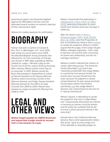greenhouse gases; has frequently litigated against the Affordable Care Act; and has defended severe burdens on women's exercise of their reproductive rights.

Alliance for Justice opposes his confirmation.

# <span id="page-3-0"></span>Biography

Nielson has been a partner at Cooper & Kirk, PLLC in Washington, D.C. since 2010, after being of counsel there since 2005. He attended Brigham Young University and attained his J.D. from University of Chicago Law School in 1997. After graduating, Nielson clerked for Judge J. Michael Luttig on the Fourth Circuit and for Justice Anthony Kennedy. After clerking, Nielson joined Jones Day as an associate. In 2001, Nielson joined the Bush Administration's Department of Justice as Special Assistant to the Deputy Attorney General, before becoming Counsel to the Attorney General, and finally, Deputy Assistant Attorney General for the Office of Legal Counsel from 2003 to 2005. Nielson also worked as a legal consultant for Boeing from 2008 to 2014.

### <span id="page-3-1"></span>Legal and Other Views

*Nielson fought equality for LGBTQ Americans and argued that a judge should be recused from a case because he is gay.*

Nielson represented the defendants in *[Hollingsworth v. Perry](https://scholar.google.com/scholar_case?case=17941114802734225386&q=133+S.+Ct.+2652&hl=en&as_sdt=20006)*, 133 S. Ct. 2652 [\(2013\)](https://scholar.google.com/scholar_case?case=17941114802734225386&q=133+S.+Ct.+2652&hl=en&as_sdt=20006), defending Proposition 8, which would have banned same-sex marriage in California.

After the district court, in *[Perry v.](https://scholar.google.com/scholar_case?case=1984506746130471324&q=704+F.+Supp.+2d+921&hl=en&as_sdt=20006)  [Schwarzenegger](https://scholar.google.com/scholar_case?case=1984506746130471324&q=704+F.+Supp.+2d+921&hl=en&as_sdt=20006)*, 704 F. Supp. 2d 921 (N.D. Cal. 2010), ruled that Proposition 8 was unconstitutional, Nielson filed a [motion](https://www.afj.org/wp-content/uploads/2017/12/Perry-v.-Hollingsworth-motion-to-vacate.pdf)  to vacate the judgment. Nielson's motion argued that the judge, Chief Judge Vaughn Walker, a Reagan appointee, "had a duty to disclose not only the facts concerning his [same-sex] relationship, but also his marriage intentions."

Nielson's motion reflected the rhetoric of certain right-wing groups. The American Family Association [said](https://thinkprogress.org/conservatives-blame-loss-in-prop-8-case-on-judges-homosexuality-ee3f9f95a5d2/) that it was "extremely problematic that Judge Walker is a practicing homosexual himself. He should have recused himself from this case, because his judgment is clearly compromised by his own sexual proclivity." Conservative activist Tony Perkins specifically [said](https://www.huffingtonpost.com/2010/08/08/tony-perkins-prop-8-judge_n_674788.html) that Judge Walker's decision was compromised by the fact he is "openly homosexual."

Nielson argued, in attempting to vacate the judgment, that only if Judge Walker had "unequivocally disavowed any interest in marrying his partner could the parties and the public be confident that he did not have a direct personal interest in the outcome[.]"

Kamala Harris, then California Attorney General, filed a brief opposing the motion. She wrote, "[j]ust as every single one of the attempts to disqualify judges on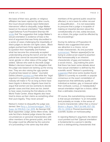the basis of their race, gender, or religious affiliation has been rejected by other courts, this Court should similarly reject Defendant-Intervenors' effort to disqualify Judge Walker based on his sexual orientation." Now-NAACP Legal Defense Fund President Sherrilyn Ifill [wrote](https://www.theroot.com/challenging-judge-walker-1790880570) that "the suggestion that Judge Walker's sexual orientation is evidence of bias is the kind of argument that was firmly discredited in a series of cases challenging the impartiality of black judges to decide civil rights cases….Black judges pushed back firmly against attempts to question their impartiality and framed what has become the universally accepted understanding among the bench and bar: that judicial bias cannot be assumed based on racial, gender or other status of the judge." She added, "[t]hose who seek to discredit Judge Walker's decision based on the allegation that the judge was biased are barking up the wrong tree. They are also raising the ugly specter of judicial bias based on status." Journalist Dahlia Lithwick [pointed out](http://www.slate.com/articles/news_and_politics/jurisprudence/2011/06/too_gay_to_judge.html) that while the "legal argument is degrading and futile doesn't mean nobody will make it. For as long as there have been bigots in America, litigants have tried to argue that women are too womanly to decide gender cases and that Jews are too Jewish to hear cases involving the first attacks on the World Trade Center…these litigants also have tried to dress up their claims as something other than pure bigotry. They never prevail."

Nielson's motion to disqualify the judge was denied. *See [Perry v. Schwarzenegger](https://scholar.google.com/scholar_case?case=14062758730259061410&q=790+F.+Supp.+2d+1119+&hl=en&as_sdt=20006)*, 790 F. [Supp. 2d 1119 \(N.D. Cal. 2011\).](https://scholar.google.com/scholar_case?case=14062758730259061410&q=790+F.+Supp.+2d+1119+&hl=en&as_sdt=20006) As George H.W. Bush appointee Judge James Ware wrote, "[t]he sole fact that a federal judge shares the same circumstances or personal characteristics with other members of the general public, and that the judge could be affected by the outcome of a proceeding in the same way that other

members of the general public would be affected, is not a basis for either recusal or disqualification. … It is not reasonable to presume that a judge is incapable of making an impartial decision about the constitutionality of a law, solely because, as a citizen, the judge could be affected by the proceedings."

During his defense of Proposition 8, Nielson also suggested that samesex attraction is a choice, not an innate characteristic. As one journalist [summarized,](https://www.mercurynews.com/2010/01/22/prop-8-trial-day-9-live-coverage-from-the-courtroom/) "Nielson appear[ed] to be trying to undercut [an expert's] assertion that homosexuality is an inherent characteristic of gays and lesbians, not a social choice…. [by] making the point that there has been some debate about how sexual orientation is defined by the scientific world." Nielson's questioning [suggested](http://afer.org/wp-content/uploads/2010/01/Perry-Vol-9-1-22-10.pdf) that since some studies found "[t]here is currently no scientific or popular consensus on the exact constellation of experiences that definitively qualify an individual as lesbian, gay, or bisexual rather than confused, curious, or maladjusted[,]" sexual orientation might be a choice, rather than a definable characteristic.

Of course, the overwhelming consensus is that sexual orientation "is an immutable (and probably an innate, in the sense of in-born) characteristic rather than a choice." *Baskin v. Bogan,* [766 F.3d 648, 657–58](https://scholar.google.com/scholar_case?case=7033235951018583377&q=766+F.3d+648&hl=en&as_sdt=20006)  [\(7th Cir. 2014\)](https://scholar.google.com/scholar_case?case=7033235951018583377&q=766+F.3d+648&hl=en&as_sdt=20006) (J. Posner) (summarizing scientific studies on homosexuality).

In rejecting Nielson's argument, the district court pointed out that "[s]exual orientation is fundamental to a person's identity and is a distinguishing characteristic that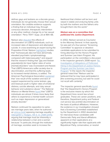#### WWW.AFJ.ORG PAGE 4

defines gays and lesbians as a discrete group…. Individuals do not generally choose their sexual orientation. No credible evidence supports a finding that an individual may, through conscious decision, therapeutic intervention or any other method, change his or her sexual orientation." *Perry* 704 F. Supp. 2d at 964–66.

Nielson also [disputed](https://www.mercurynews.com/2010/01/14/prop-8-trial-day-4-live-coverage-from-the-courtroom/) the effects of discrimination on LGBTQ individuals, such as increased rates of depression and attempted suicide. In cross-examining an expert during the Proposition 8 trial, Nielson [highlighted](http://afer.org/wp-content/uploads/2010/01/Perry-Vol-4-1-14-10.pdf) studies that "homosexuals d[o] not have abnormally elevated psychiatric symptomatology compared with heterosexuals[,]" and argued that the research finding that "gay and lesbian population[s] do have higher rates of some [mental] disorders" was inconsistent and flawed. That LGBTQ Americans suffer acutely due to discrimination, and that this suffering leads to increased mental distress, is settled. The American Psychological Association [explaine](http://www.apa.org/pi/lgbt/resources/just-the-facts.pdf)d that "one result of the isolation and lack of support experienced by some lesbian, gay, and bisexual youth is higher rates of emotional distress, suicide attempts, and risky sexual behavior and substance abuse." The National Alliance on Mental Illness [found](https://www.nami.org/Find-Support/LGBTQ) that "LGBTQ individuals are almost 3 times more likely than others to experience a mental health concern such as major depression or generalized anxiety disorder."

Nielson continued his opposition to samesex marriage years later, when he authored an [amicus brief](https://www.americanbar.org/content/dam/aba/publications/supreme_court_preview/BriefsV5/14-556_amicus_resp_scholars.authcheckdam.pdf) opposing marriage equality in *Obergefell v. Hodges*[, 135 S. Ct. 2584 \(2015\)](https://supreme.justia.com/cases/federal/us/576/14-556/opinion3.html), arguing that marriage must be inherently a relationship between a man and a woman because "in particular, through the institution of marriage, societies seek to increase the

likelihood that children will be born and raised in stable and enduring family units by both the mothers and the fathers who brought them into this world."

#### *Nielson was on a committee that politicized the Justice Department.*

In 2002, Nielson served as Counselor to the Attorney General. In that capacity, he was part of a four-person "Screening Committee" to approve or deselect candidate applications to be submitted to hiring attorneys for the Honors Program and Summer Law Intern Program. His participation on the committee is discussed in the inspector general's 2008 report: ["An](https://oig.justice.gov/special/s0806/report.htm)  [Investigation of Allegations of Politicized](https://oig.justice.gov/special/s0806/report.htm)  [Hiring in the Department of Justice Honors](https://oig.justice.gov/special/s0806/report.htm)  [Program and the Summer Law Intern](https://oig.justice.gov/special/s0806/report.htm)  [Program](https://oig.justice.gov/special/s0806/report.htm)." In the report, the inspector general noted that "Nielson said he believed that he may have participated in [the screening process], but said he could not recall with certainty."

The inspector general specifically [found](https://www.gpo.gov/fdsys/pkg/CHRG-110shrg44237/html/CHRG-110shrg44237.htm) that "the Department's Honors Program is the exclusive means by which the Department hires recent law school graduates. These are career positions, and, therefore, Department policy and Federal civil service law prohibit discrimination on the basis of political affiliations. However, the evidence in our investigation showed that a Screening Committee established by the Department in 2002 deselected for interviews those candidates with Democratic Party and liberal affiliations apparent on their applications at a significantly higher rate than applicants with Republican Party, conservative, or neutral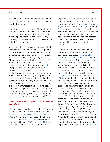affiliations. This pattern continued even when we compared a subset of academically highly qualified candidates."

The inspector general [added,](https://www.gpo.gov/fdsys/pkg/CHRG-110shrg44237/html/CHRG-110shrg44237.htm) "the problem was not necessarily with the law. The problem was with the application of the law by the people in the Department of Justice, which is very troubling that the Department of Justice would not adhere to the law."

In response to questions from Senators Charles Schumer and Sheldon Whitehouse regarding consequences for the Department of Justice officials involved in the politicization scandals at the department, including firing of U.S. Attorneys, improper politicization of hiring of immigration judges, and politicization of the honors program, the inspector general [said:](https://www.gpo.gov/fdsys/pkg/CHRG-110shrg44237/html/CHRG-110shrg44237.htm) "people did leave the Department so they cannot be disciplined by the Department, but we have recommended that they never get a job with the Department again, hopefully never with the Federal Government again, that they consider this report if they ever do apply. They have been exposed. Their conduct has been exposed in a transparent way for all to see." He emphasized, "[t]he ones who are no longer with the Department should never get a job with the Department or, in my view, any other Federal agency based upon the conduct listed[.]"

#### <span id="page-6-0"></span>*Nielson led the effort against common-sense gun reform.*

Nielson has repeatedly represented the NRA in failed attempts to overturn firearm regulations. These suits include *[NRA v. McCraw](http://sblog.s3.amazonaws.com/wp-content/uploads/2013/11/13-390-NRA-v-McCraw-Cert-Pet-09-24-13.pdf),* [134 S. Ct.](http://sblog.s3.amazonaws.com/wp-content/uploads/2013/11/13-390-NRA-v-McCraw-Cert-Pet-09-24-13.pdf)  [1365 \(2014\),](http://sblog.s3.amazonaws.com/wp-content/uploads/2013/11/13-390-NRA-v-McCraw-Cert-Pet-09-24-13.pdf) where Nielson argued that bans on 18-20 year olds publicly carrying firearms are unconstitutional; *[NRA v. BATFE](https://sblog.s3.amazonaws.com/wp-content/uploads/2013/08/NRA-petition-13-137.pdf)*[, 134 S. Ct.](https://sblog.s3.amazonaws.com/wp-content/uploads/2013/08/NRA-petition-13-137.pdf)  [1364 \(2014\),](https://sblog.s3.amazonaws.com/wp-content/uploads/2013/08/NRA-petition-13-137.pdf) where Nielson argued that the

Supreme Court should overturn a statute banning handgun purchases to people under the age of 21; and *F[riedman v. City of](http://blog.californiarighttocarry.org/wp-content/uploads/2015/08/Friedman-v-Highland_Petition-for-Writ-of-Certiorari1.pdf) [Highland Park](http://blog.californiarighttocarry.org/wp-content/uploads/2015/08/Friedman-v-Highland_Petition-for-Writ-of-Certiorari1.pdf)*[, 136 S. Ct. 447 \(2015\),](http://blog.californiarighttocarry.org/wp-content/uploads/2015/08/Friedman-v-Highland_Petition-for-Writ-of-Certiorari1.pdf) where Nielson represented the Illinois State Rifle Association in fighting Chicago's ordinance banning semiautomatic rifles and large capacity magazines. In each one of these cases, the laws were upheld by the circuit courts and the Supreme Court denied certiorari.

Contrary to the overwhelming weight of precedent before the Supreme Court considered the question in *[District of](https://scholar.google.com/scholar_case?case=6484080926445491577&q=554+U.S.+570&hl=en&as_sdt=20006)  Columbia v. Heller*[, 554 U.S. 570 \(2008](https://scholar.google.com/scholar_case?case=6484080926445491577&q=554+U.S.+570&hl=en&as_sdt=20006)), Nielson authored a 2004 [memorandum](https://www.justice.gov/file/18831/download) for OLC concluding that the Second Amendment secured an individual right to bear arms. At the time he wrote his memorandum, the Supreme Court decision that was most directly on point was *[United States v. Miller](https://scholar.google.com/scholar_case?case=17128640835628801970&q=United+States+v.+Miller,+307+U.S.+174+(1939)&hl=en&as_sdt=20006)*, 307 U.S. 174 [\(1939\)](https://scholar.google.com/scholar_case?case=17128640835628801970&q=United+States+v.+Miller,+307+U.S.+174+(1939)&hl=en&as_sdt=20006), where the Court had held that the Second Amendment "must be interpreted and applied" in view of its "obvious purpose to assure the continuation and render possible the effectiveness of such [militia] forces[.]" *Id.* at 178. Moreover, as Justice Stevens noted in dissent in *Heller,* since *Miller*, "hundreds of judges ha[d] relied on the view of the Amendment we endorsed there; we ourselves affirmed it in 1980." *Heller*, 554 U.S. at 638 (Stevens, J., dissenting) (citing *Lewis v. United States*, 445 U.S. 55, 65-66 n.8 (1980)). Indeed, at the time of Nielson's memorandum, the First, Third, Fourth, Sixth, Seventh, Eighth, Ninth, Tenth and Eleventh Circuits had all held that "the Amendment protects only a right of the various state governments to preserve and arm their militias." *[Parker](https://scholar.google.com/scholar_case?case=11156910755936011541&q=478+F.3d+370&hl=en&as_sdt=20006)*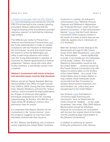*v. District of Columbia*[, 478 F.3d 370, 379 \(D.C.](https://scholar.google.com/scholar_case?case=11156910755936011541&q=478+F.3d+370&hl=en&as_sdt=20006) 

[Cir. 2007\)](https://scholar.google.com/scholar_case?case=11156910755936011541&q=478+F.3d+370&hl=en&as_sdt=20006) (reviewing court decisions). Only the Fifth Circuit had held to the contrary. Ignoring precedent, Nielson determined that the "original meaning of the [Constitution] provides extensive reasons" to hold that the individual right existed.

The Giffords Law Center to Prevent Gun Violence and Democracy Forward have [sued](https://democracyforward.org/wp-content/uploads/2017/11/Giffords-v.-DOJ-Judicial-Nominiatons-NRA-Influence.pdf) the Trump Administration in order to compel compliance with the Freedom of Information Act and release "records that would reveal the extent to which the Washington gun lobby is exercising influence and control over the Trump Administration's selection of nominees for lifetime appointments to federal judgeships." Nielson, along with many other Trump nominees, is specifically named in the complaint.

#### *Nielson's involvement with issues of torture and executive power must be fully disclosed.*

Nielson served as Deputy Assistant Attorney General (AAG) in the Office of Legal Counsel from 2003 to 2005. During that time, Nielson's boss, Stephen Bradbury, authored the "torture memos," which provided the legal justifications for 13 types of enhanced interrogation techniques employed by the CIA, including waterboarding. As Senator John McCain [said,](https://www.mccain.senate.gov/public/index.cfm/2017/11/remarks-by-senator-john-mccain-opposing-the-nomination-of-steven-bradbury) "[p]ut simply, Mr. Bradbury's memos were permission slips for torture."

It is imperative that Nielson disclose his full involvement in the "torture memos," since the evidence suggests he may have been intimately involved with their issuance.

At OLC, Nielson, like Bradbury, was involved in issues regarding the United States' treatment

of persons in custody. He authored a memorandum [titled](https://www.justice.gov/sites/default/files/olc/legacy/2009/12/30/aclu-ii-080505.pdf) "Whether Persons Captured and Detained in Afghanistan are 'Protected Persons' under the Fourth Geneva Convention." In that memorandum, Nielson "[argues](https://www.justsecurity.org/35236/memo-president-obama-memo-withdraw/) that the Fourth Geneva Convention, which protects civilians in the hands of a state of which they are not nationals, applies only to individuals on *U.S. territory*[.]"

Beth Van Schaack, former Deputy to the Ambassador-at-Large for War Crimes Issues at the State Department, [noted](https://www.justsecurity.org/35236/memo-president-obama-memo-withdraw/) that this "interpretation . . . would significantly truncate, if not virtually gut, the protections of that treaty." Indeed, "the impact of [Nielson's] interpretation would be that the United States . . . would be bound by [the Fourth Geneva Convention] only with respect to actions taken *on the territory* of the United States…. As a result, if the United States were to detain Afghan or Iraqi civilians, those individuals would not benefit from [the Convention's] dictates about humane treatment, nondiscrimination, etc. unless they were brought back to the United States."

Van Schaack [noted](https://www.justsecurity.org/35236/memo-president-obama-memo-withdraw/) that Nielson's "erroneous legal reasoning and conclusions" were so flawed that the memo should be "add[ed] . . . to the Legal Scrapheap." She wrote, "[t]he 2005 Nielson Memorandum should be withdrawn because its conclusions are inconsistent with the text, the original intent of the treaty, and the prevailing legal interpretation of the [Geneva Conventions]."

In addition to authoring an opinion limiting the protections of the Geneva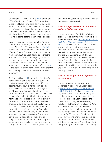Conventions, Nielson wrote a [letter](http://www.washingtonpost.com/wp-dyn/content/article/2007/10/11/AR2007101102148_pf.html) to the editor of The Washington Post in 2007 defending Bradbury. Nielson and other former deputies wrote, "one or more of us have worked with him *on virtually every issue* that has gone through the office, and *each of us is intimately familiar*  with how the office has treated the legal issues that have come before it." (emphasis added).

Even if Nielson did not work on the "torture memos," it is disturbing that he has defended them. When The Washington Post [editorialized](http://www.washingtonpost.com/wp-dyn/content/article/2007/10/06/AR2007100600940.html) against the "torture memos," it noted that the "Office of Legal Counsel issued two classified memos in 2005 to justify techniques that the [CIA] had used when interrogating terrorism suspects abroad – and to undercut a law passed by Congress that outlawed 'cruel, inhuman, and degrading treatment." In his [letter](http://www.washingtonpost.com/wp-dyn/content/article/2007/10/11/AR2007101102148_pf.html) to the editor, Nielson claimed the Post's criticism was "deeply unfair" and "was remarkably illinformed."

As Sen. McCain [said](https://www.mccain.senate.gov/public/index.cfm/2017/11/remarks-by-senator-john-mccain-opposing-the-nomination-of-steven-bradbury) in opposing Bradbury's nomination to serve as General Counsel of the Department of Transportation, "[i]n voting against Mr. Bradbury's nomination, as I also voted last week for similar reasons against Mr. Steven Engel's nomination to head the Department of Justice's Office of Legal Counsel, I am making it clear that I will not support any nominees who justified the use of torture by Americans. The laws of war were carefully created to be precise and technical in nature – but also to leave room for interpretation, even at the risk of abuse, by the Executive Branch. This makes the duty of government lawyers all the more significant. They must serve as guardians of our ideals and our obligations under international law. They are safeguards and checks on the conscience of our government, and I cannot in good faith vote

to confirm lawyers who have fallen short of this awesome responsibility."

#### <span id="page-8-0"></span>*Nielson supported a ban on affirmative action in higher education.*

Nielson advocated for Michigan's ballot proposal to end affirmative action policies at state universities in *[Schuette v. Coalition](https://scholar.google.com/scholar_case?case=13411827130215353204&q=134+S.+Ct.+1623&hl=en&as_sdt=20006)  [to Defend Affirmative Action,](https://scholar.google.com/scholar_case?case=13411827130215353204&q=134+S.+Ct.+1623&hl=en&as_sdt=20006)* 134 S.Ct. 1623 (2014). Nielson represented a white law-school applicant who intervened in the suit to defend the constitutionality of the ballot proposal before the Sixth Circuit and the U.S. Supreme Court. The Sixth Circuit held that the proposal violated the Equal Protection Clause by burdening racial minorities' ability to obtain protection through the political process. However, the Supreme Court overturned the holding in a plurality opinion.

#### <span id="page-8-1"></span>*Nielson has fought efforts to protect the environment.*

Nielson represented Republicans in Congress in opposing EPA regulations in *[Util. Air Regulatory Group v. EPA](https://scholar.google.com/scholar_case?case=5508189020577131514&q=134+S.+Ct.+2427+&hl=en&as_sdt=20006)*, 134 [S. Ct. 2427 \(2014\)](https://scholar.google.com/scholar_case?case=5508189020577131514&q=134+S.+Ct.+2427+&hl=en&as_sdt=20006). Nielson's [amicus brief](https://www.americanbar.org/content/dam/aba/publications/supreme_court_preview/briefs-v2/12-1272_pet_amicus_mitch_mcconnell_members_congress.authcheckdam.pdf) argued the EPA lacked the authority to regulate greenhouse gases emitted by large, industrial polluters, despite the Clean Air Act's language bestowing regulatory authority on the EPA over "any air pollutant." Had Nielson prevailed, carbon pollution from large-scale industries like power plants and oil refineries, which account for 83 percent of such emissions, would have gone unchecked. *See id.* at 2438–39. The Supreme Court found in a 7-2 decision that the EPA had the authority to regulate greenhouse gases emitted by